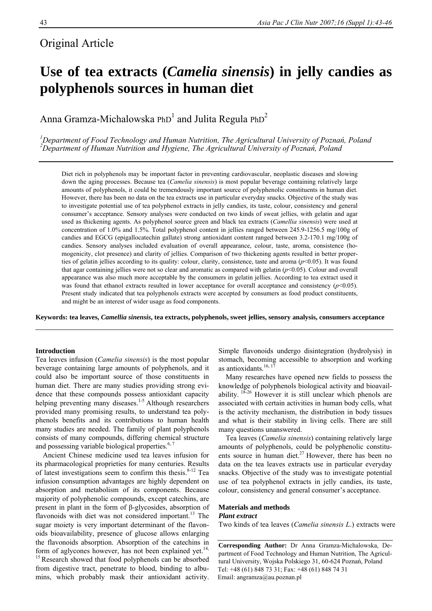# Original Article

# **Use of tea extracts (***Camelia sinensis***) in jelly candies as polyphenols sources in human diet**

Anna Gramza-Michalowska PhD<sup>1</sup> and Julita Regula PhD<sup>2</sup>

*1 Department of Food Technology and Human Nutrition, The Agricultural University of Poznań, Poland 2 Department of Human Nutrition and Hygiene, The Agricultural University of Poznań, Poland* 

Diet rich in polyphenols may be important factor in preventing cardiovascular, neoplastic diseases and slowing down the aging processes. Because tea (*Camelia sinensis*) is most popular beverage containing relatively large amounts of polyphenols, it could be tremendously important source of polyphenolic constituents in human diet. However, there has been no data on the tea extracts use in particular everyday snacks. Objective of the study was to investigate potential use of tea polyphenol extracts in jelly candies, its taste, colour, consistency and general consumer's acceptance. Sensory analyses were conducted on two kinds of sweat jellies, with gelatin and agar used as thickening agents. As polyphenol source green and black tea extracts (*Camellia sinensis*) were used at concentration of 1.0% and 1.5%. Total polyphenol content in jellies ranged between 245.9-1256.5 mg/100g of candies and EGCG (epigallocatechin gallate) strong antioxidant content ranged between 3.2-170.1 mg/100g of candies. Sensory analyses included evaluation of overall appearance, colour, taste, aroma, consistence (homogenicity, clot presence) and clarity of jellies. Comparison of two thickening agents resulted in better properties of gelatin jellies according to its quality: colour, clarity, consistence, taste and aroma (*p*<0.05). It was found that agar containing jellies were not so clear and aromatic as compared with gelatin (*p*<0.05). Colour and overall appearance was also much more acceptable by the consumers in gelatin jellies. According to tea extract used it was found that ethanol extracts resulted in lower acceptance for overall acceptance and consistency  $(p<0.05)$ . Present study indicated that tea polyphenols extracts were accepted by consumers as food product constituents, and might be an interest of wider usage as food components.

**Keywords: tea leaves,** *Camellia sinensis***, tea extracts, polyphenols, sweet jellies, sensory analysis, consumers acceptance** 

## **Introduction**

Tea leaves infusion (*Camelia sinensis*) is the most popular beverage containing large amounts of polyphenols, and it could also be important source of those constituents in human diet. There are many studies providing strong evidence that these compounds possess antioxidant capacity helping preventing many diseases.<sup>1-5</sup> Although researchers provided many promising results, to understand tea polyphenols benefits and its contributions to human health many studies are needed. The family of plant polyphenols consists of many compounds, differing chemical structure and possessing variable biological properties. $6, 7$ 

Ancient Chinese medicine used tea leaves infusion for its pharmacological proprieties for many centuries. Results of latest investigations seem to confirm this thesis. $8-12$  Tea infusion consumption advantages are highly dependent on absorption and metabolism of its components. Because majority of polyphenolic compounds, except catechins, are present in plant in the form of β-glycosides, absorption of flavonoids with diet was not considered important.<sup>13</sup> The sugar moiety is very important determinant of the flavonoids bioavailability, presence of glucose allows enlarging the flavonoids absorption. Absorption of the catechins in form of aglycones however, has not been explained yet.<sup>14,</sup> <sup>15</sup> Research showed that food polyphenols can be absorbed from digestive tract, penetrate to blood, binding to albumins, which probably mask their antioxidant activity. Simple flavonoids undergo disintegration (hydrolysis) in stomach, becoming accessible to absorption and working as antioxidants. $16, 17$ 

Many researches have opened new fields to possess the knowledge of polyphenols biological activity and bioavailability.  $18-26$  However it is still unclear which phenols are associated with certain activities in human body cells, what is the activity mechanism, the distribution in body tissues and what is their stability in living cells. There are still many questions unanswered.

Tea leaves (*Camelia sinensis*) containing relatively large amounts of polyphenols, could be polyphenolic constituents source in human diet.<sup>27</sup> However, there has been no data on the tea leaves extracts use in particular everyday snacks. Objective of the study was to investigate potential use of tea polyphenol extracts in jelly candies, its taste, colour, consistency and general consumer's acceptance.

### **Materials and methods**  *Plant extract*

Two kinds of tea leaves (*Camelia sinensis L*.) extracts were

**Corresponding Author:** Dr Anna Gramza-Michalowska, Department of Food Technology and Human Nutrition, The Agricultural University, Wojska Polskiego 31, 60-624 Poznań, Poland Tel: +48 (61) 848 73 31; Fax: +48 (61) 848 74 31 Email: angramza@au.poznan.pl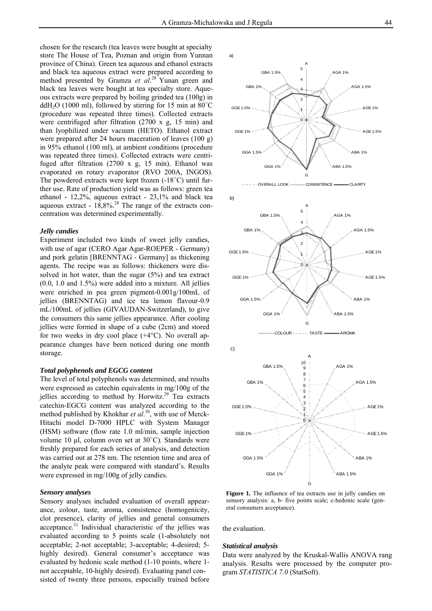chosen for the research (tea leaves were bought at specialty store The House of Tea, Poznan and origin from Yunnan province of China). Green tea aqueous and ethanol extracts and black tea aqueous extract were prepared according to method presented by Gramza *et al*. 28 Yunan green and black tea leaves were bought at tea specialty store. Aqueous extracts were prepared by boiling grinded tea (100g) in ddH<sub>2</sub>O (1000 ml), followed by stirring for 15 min at  $80^{\circ}$ C (procedure was repeated three times). Collected extracts were centrifuged after filtration (2700 x g, 15 min) and than lyophilized under vacuum (HETO). Ethanol extract were prepared after 24 hours maceration of leaves (100 g) in 95% ethanol (100 ml), at ambient conditions (procedure was repeated three times). Collected extracts were centrifuged after filtration (2700 x g, 15 min). Ethanol was evaporated on rotary evaporator (RVO 200A, INGOS). The powdered extracts were kept frozen (-18°C) until further use. Rate of production yield was as follows: green tea ethanol - 12,2%, aqueous extract - 23,1% and black tea aqueous extract -  $18.8\%$ <sup>28</sup> The range of the extracts concentration was determined experimentally.

#### *Jelly candies*

Experiment included two kinds of sweet jelly candies, with use of agar (CERO Agar Agar-ROEPER - Germany) and pork gelatin [BRENNTAG - Germany] as thickening agents. The recipe was as follows: thickeners were dissolved in hot water, than the sugar (5%) and tea extract (0.0, 1.0 and 1.5%) were added into a mixture. All jellies were enriched in pea green pigment-0.001g/100mL of jellies (BRENNTAG) and ice tea lemon flavour-0.9 mL/100mL of jellies (GIVAUDAN-Switzerland), to give the consumers this same jellies appearance. After cooling jellies were formed in shape of a cube (2cm) and stored for two weeks in dry cool place  $(+4^{\circ}C)$ . No overall appearance changes have been noticed during one month storage.

#### *Total polyphenols and EGCG content*

The level of total polyphenols was determined, and results were expressed as catechin equivalents in mg/100g of the jellies according to method by Horwitz. $29$  Tea extracts catechin-EGCG content was analyzed according to the method published by Khokhar *et al*. 30, with use of Merck-Hitachi model D-7000 HPLC with System Manager (HSM) software (flow rate 1.0 ml/min, sample injection volume 10 μl, column oven set at 30○ C). Standards were freshly prepared for each series of analysis, and detection was carried out at 278 nm. The retention time and area of the analyte peak were compared with standard's. Results were expressed in mg/100g of jelly candies.

#### *Sensory analyses*

Sensory analyses included evaluation of overall appearance, colour, taste, aroma, consistence (homogenicity, clot presence), clarity of jellies and general consumers acceptance.<sup>31</sup> Individual characteristic of the jellies was evaluated according to 5 points scale (1-absolutely not acceptable; 2-not acceptable; 3-acceptable; 4-desired; 5 highly desired). General consumer's acceptance was evaluated by hedonic scale method (1-10 points, where 1 not acceptable, 10-highly desired). Evaluating panel consisted of twenty three persons, especially trained before







G

 $COI$  OLIR  $\cdots$   $T\Delta$  STE

GGA 1%

ABA 1.5%

**Figure 1.** The influence of tea extracts use in jelly candies on sensory analysis: a, b- five points scale; c-hedonic scale (general consumers acceptance).

the evaluation.

#### *Statistical analysis*

Data were analyzed by the Kruskal-Wallis ANOVA rang analysis. Results were processed by the computer program *STATISTICA 7.0* (StatSoft).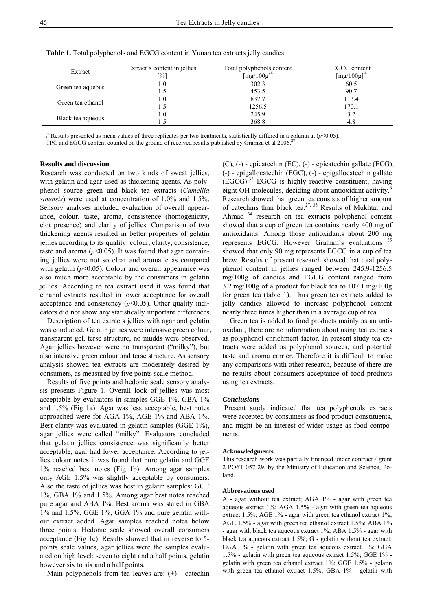| Extract           | Extract's content in jellies<br>[%] | Total polyphenols content<br>$\left[\frac{mg}{100g}\right]^{\#}$ | EGCG content<br>$\left[\text{mg}/100\text{g}\right]^{\#}$ |
|-------------------|-------------------------------------|------------------------------------------------------------------|-----------------------------------------------------------|
| Green tea aqueous | L.O                                 | 302.3                                                            | 60.5                                                      |
|                   |                                     | 453.5                                                            | 90.7                                                      |
| Green tea ethanol | l.O                                 | 837.7                                                            | 113.4                                                     |
|                   | 1.5                                 | 1256.5                                                           | 170.1                                                     |
| Black tea aqueous | 1.0                                 | 245.9                                                            | 3.2                                                       |
|                   |                                     | 368.8                                                            | 4.8                                                       |

**Table 1.** Total polyphenols and EGCG content in Yunan tea extracts jelly candies

# Results presented as mean values of three replicates per two treatments, statistically differed in a column at (*p*<0,05).

TPC and EGCG content counted on the ground of received results published by Gramza et al 2006.

#### **Results and discussion**

Research was conducted on two kinds of sweat jellies, with gelatin and agar used as thickening agents. As polyphenol source green and black tea extracts (*Camellia sinensis*) were used at concentration of 1.0% and 1.5%. Sensory analyses included evaluation of overall appearance, colour, taste, aroma, consistence (homogenicity, clot presence) and clarity of jellies. Comparison of two thickening agents resulted in better properties of gelatin jellies according to its quality: colour, clarity, consistence, taste and aroma  $(p<0.05)$ . It was found that agar containing jellies were not so clear and aromatic as compared with gelatin  $(p<0.05)$ . Colour and overall appearance was also much more acceptable by the consumers in gelatin jellies. According to tea extract used it was found that ethanol extracts resulted in lower acceptance for overall acceptance and consistency  $(p<0.05)$ . Other quality indicators did not show any statistically important differences.

Description of tea extracts jellies with agar and gelatin was conducted. Gelatin jellies were intensive green colour, transparent gel, terse structure, no mudds were observed. Agar jellies however were no transparent ("milky"), but also intensive green colour and terse structure. As sensory analysis showed tea extracts are moderately desired by consumers, as measured by five points scale method.

Results of five points and hedonic scale sensory analysis presents Figure 1. Overall look of jellies was most acceptable by evaluators in samples GGE 1%, GBA 1% and 1.5% (Fig 1a). Agar was less acceptable, best notes approached were for AGA 1%, AGE 1% and ABA 1%. Best clarity was evaluated in gelatin samples (GGE 1%), agar jellies were called "milky". Evaluators concluded that gelatin jellies consistence was significantly better acceptable, agar had lower acceptance. According to jellies colour notes it was found that pure gelatin and GGE 1% reached best notes (Fig 1b). Among agar samples only AGE 1.5% was slightly acceptable by consumers. Also the taste of jellies was best in gelatin samples: GGE 1%, GBA 1% and 1.5%. Among agar best notes reached pure agar and ABA 1%. Best aroma was stated in GBA 1% and 1.5%, GGE 1%, GGA 1% and pure gelatin without extract added. Agar samples reached notes below three points. Hedonic scale showed overall consumers acceptance (Fig 1c). Results showed that in reverse to 5 points scale values, agar jellies were the samples evaluated on high level: seven to eight and a half points, gelatin however six to six and a half points.

Main polyphenols from tea leaves are:  $(+)$  - catechin

(C), (-) - epicatechin (EC), (-) - epicatechin gallate (ECG), (-) - epigallocatechin (EGC), (-) - epigallocatechin gallate  $(EGCG).$ <sup>32</sup> EGCG is highly reactive constituent, having eight OH molecules, deciding about antioxidant activity.<sup>6</sup> Research showed that green tea consists of higher amount of catechins than black tea.<sup>27, 33</sup> Results of Mukhtar and Ahmad <sup>34</sup> research on tea extracts polyphenol content showed that a cup of green tea contains nearly 400 mg of antioxidants. Among those antioxidants about 200 mg represents EGCG. However Graham's evaluations showed that only 90 mg represents EGCG in a cup of tea brew. Results of present research showed that total polyphenol content in jellies ranged between 245.9-1256.5 mg/100g of candies and EGCG content ranged from 3.2 mg/100g of a product for black tea to 107.1 mg/100g for green tea (table 1). Thus green tea extracts added to jelly candies allowed to increase polyphenol content nearly three times higher than in a average cup of tea.

Green tea is added to food products mainly as an antioxidant, there are no information about using tea extracts as polyphenol enrichment factor. In present study tea extracts were added as polyphenol sources, and potential taste and aroma carrier. Therefore it is difficult to make any comparisons with other research, because of there are no results about consumers acceptance of food products using tea extracts.

#### *Conclusions*

Present study indicated that tea polyphenols extracts were accepted by consumers as food product constituents, and might be an interest of wider usage as food components.

#### **Acknowledgments**

This research work was partially financed under contract / grant 2 PO6T 057 29, by the Ministry of Education and Science, Poland.

#### **Abbrevations used**

A - agar without tea extract; AGA 1% - agar with green tea aqueous extract 1%; AGA 1.5% - agar with green tea aqueous extract 1.5%; AGE 1% - agar with green tea ethanol extract 1%; AGE 1.5% - agar with green tea ethanol extract 1.5%; ABA 1% - agar with black tea aqueous extract 1%; ABA 1.5% - agar with black tea aqueous extract 1.5%; G - gelatin without tea extract; GGA 1% - gelatin with green tea aqueous extract 1%; GGA 1.5% - gelatin with green tea aqueous extract 1.5%; GGE 1% gelatin with green tea ethanol extract 1%; GGE 1.5% - gelatin with green tea ethanol extract 1.5%; GBA 1% - gelatin with